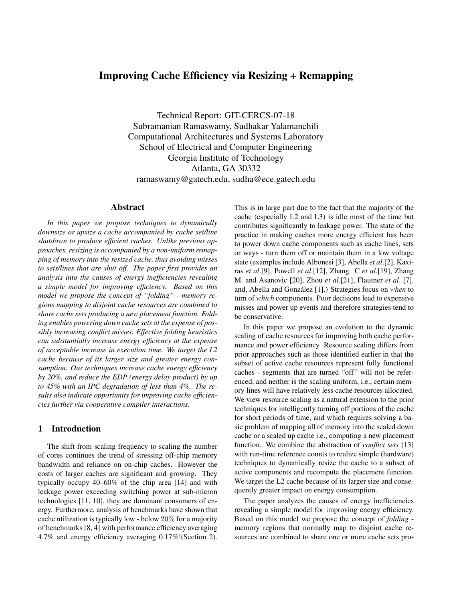# Improving Cache Efficiency via Resizing + Remapping

Technical Report: GIT-CERCS-07-18 Subramanian Ramaswamy, Sudhakar Yalamanchili Computational Architectures and Systems Laboratory School of Electrical and Computer Engineering Georgia Institute of Technology Atlanta, GA 30332 ramaswamy@gatech.edu, sudha@ece.gatech.edu

#### Abstract

*In this paper we propose techniques to dynamically downsize or upsize a cache accompanied by cache set/line shutdown to produce efficient caches. Unlike previous approaches, resizing is accompanied by a non-uniform remapping of memory into the resized cache, thus avoiding misses to sets/lines that are shut off. The paper first provides an analysis into the causes of energy inefficiencies revealing a simple model for improving efficiency. Based on this model we propose the concept of "folding" - memory regions mapping to disjoint cache resources are combined to share cache sets producing a new placement function. Folding enables powering down cache sets at the expense of possibly increasing conflict misses. Effective folding heuristics can substantially increase energy efficiency at the expense of acceptable increase in execution time. We target the L2 cache because of its larger size and greater energy consumption. Our techniques increase cache energy efficiency by 20%, and reduce the EDP (energy delay product) by up to 45% with an IPC degradation of less than 4%. The results also indicate opportunity for improving cache efficiencies further via cooperative compiler interactions.*

# 1 Introduction

The shift from scaling frequency to scaling the number of cores continues the trend of stressing off-chip memory bandwidth and reliance on on-chip caches. However the costs of larger caches are significant and growing. They typically occupy 40–60% of the chip area [14] and with leakage power exceeding switching power at sub-micron technologies [11, 10], they are dominant consumers of energy. Furthermore, analysis of benchmarks have shown that cache utilization is typically low - below 20% for a majority of benchmarks [8, 4] with performance efficiency averaging 4.7% and energy efficiency averaging 0.17%!(Section 2). This is in large part due to the fact that the majority of the cache (especially L2 and L3) is idle most of the time but contributes significantly to leakage power. The state of the practice in making caches more energy efficient has been to power down cache components such as cache lines, sets or ways - turn them off or maintain them in a low voltage state (examples include Albonesi [3], Abella *et al*.[2], Kaxiras *et al*.[9], Powell *et al*.[12], Zhang. C *et al*.[19], Zhang M. and Asanovic [20], Zhou *et al*.[21], Flautner *et al*. [7], and, Abella and González [1].) Strategies focus on *when* to turn of *which* components. Poor decisions lead to expensive misses and power up events and therefore strategies tend to be conservative.

In this paper we propose an evolution to the dynamic scaling of cache resources for improving both cache performance and power efficiency. Resource scaling differs from prior approaches such as those identified earlier in that the subset of active cache resources represent fully functional caches - segments that are turned "off" will not be referenced, and neither is the scaling uniform, i.e., certain memory lines will have relatively less cache resources allocated. We view resource scaling as a natural extension to the prior techniques for intelligently turning off portions of the cache for short periods of time, and which requires solving a basic problem of mapping all of memory into the scaled down cache or a scaled up cache i.e., computing a new placement function. We combine the abstraction of *conflict sets* [13] with run-time reference counts to realize simple (hardware) techniques to dynamically resize the cache to a subset of active components and recompute the placement function. We target the L2 cache because of its larger size and consequently greater impact on energy consumption.

The paper analyzes the causes of energy inefficiencies revealing a simple model for improving energy efficiency. Based on this model we propose the concept of *folding* memory regions that normally map to disjoint cache resources are combined to share one or more cache sets pro-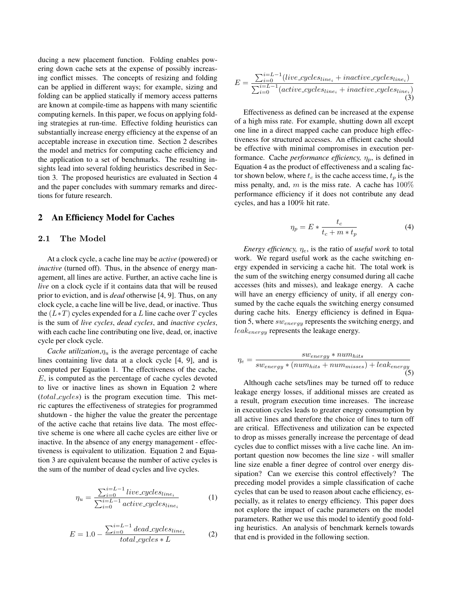ducing a new placement function. Folding enables powering down cache sets at the expense of possibly increasing conflict misses. The concepts of resizing and folding can be applied in different ways; for example, sizing and folding can be applied statically if memory access patterns are known at compile-time as happens with many scientific computing kernels. In this paper, we focus on applying folding strategies at run-time. Effective folding heuristics can substantially increase energy efficiency at the expense of an acceptable increase in execution time. Section 2 describes the model and metrics for computing cache efficiency and the application to a set of benchmarks. The resulting insights lead into several folding heuristics described in Section 3. The proposed heuristics are evaluated in Section 4 and the paper concludes with summary remarks and directions for future research.

# 2 An Efficiency Model for Caches

# 2.1 The Model

At a clock cycle, a cache line may be *active* (powered) or *inactive* (turned off). Thus, in the absence of energy management, all lines are active. Further, an active cache line is *live* on a clock cycle if it contains data that will be reused prior to eviction, and is *dead* otherwise [4, 9]. Thus, on any clock cycle, a cache line will be live, dead, or inactive. Thus the  $(L*T)$  cycles expended for a L line cache over T cycles is the sum of *live cycles*, *dead cycles*, and *inactive cycles*, with each cache line contributing one live, dead, or, inactive cycle per clock cycle.

*Cache utilization*, $\eta_u$  is the average percentage of cache lines containing live data at a clock cycle [4, 9], and is computed per Equation 1. The effectiveness of the cache, E, is computed as the percentage of cache cycles devoted to live or inactive lines as shown in Equation 2 where  $(total_{cycles})$  is the program execution time. This metric captures the effectiveness of strategies for programmed shutdown - the higher the value the greater the percentage of the active cache that retains live data. The most effective scheme is one where all cache cycles are either live or inactive. In the absence of any energy management - effectiveness is equivalent to utilization. Equation 2 and Equation 3 are equivalent because the number of active cycles is the sum of the number of dead cycles and live cycles.

$$
\eta_u = \frac{\sum_{i=0}^{i=L-1} live\_cycles_{line_i}}{\sum_{i=0}^{i=L-1} active\_cycles_{line_i}}\tag{1}
$$

$$
E = 1.0 - \frac{\sum_{i=0}^{i=L-1} dead\_cycles_{linei}}{total\_cycles * L}
$$
 (2)

$$
E = \frac{\sum_{i=0}^{i=L-1}(live\_cycles_{line_i} + inactive\_cycles_{line_i})}{\sum_{i=0}^{i=L-1}(active\_cycles_{line_i} + inactive\_cycles_{line_i})}
$$
(3)

Effectiveness as defined can be increased at the expense of a high miss rate. For example, shutting down all except one line in a direct mapped cache can produce high effectiveness for structured accesses. An efficient cache should be effective with minimal compromises in execution performance. Cache *performance efficiency*,  $\eta_p$ , is defined in Equation 4 as the product of effectiveness and a scaling factor shown below, where  $t_c$  is the cache access time,  $t_p$  is the miss penalty, and, m is the miss rate. A cache has  $100\%$ performance efficiency if it does not contribute any dead cycles, and has a 100% hit rate.

$$
\eta_p = E * \frac{t_c}{t_c + m * t_p} \tag{4}
$$

*Energy efficiency,*  $\eta_e$ , is the ratio of *useful work* to total work. We regard useful work as the cache switching energy expended in servicing a cache hit. The total work is the sum of the switching energy consumed during all cache accesses (hits and misses), and leakage energy. A cache will have an energy efficiency of unity, if all energy consumed by the cache equals the switching energy consumed during cache hits. Energy efficiency is defined in Equation 5, where  $sw_{energy}$  represents the switching energy, and  $leak_{energy}$  represents the leakage energy.

$$
\eta_e = \frac{sw_{energy} * num_{hits}}{sw_{energy} * (num_{hits} + num_{misses}) + leak_{energy}}
$$
(5)

Although cache sets/lines may be turned off to reduce leakage energy losses, if additional misses are created as a result, program execution time increases. The increase in execution cycles leads to greater energy consumption by all active lines and therefore the choice of lines to turn off are critical. Effectiveness and utilization can be expected to drop as misses generally increase the percentage of dead cycles due to conflict misses with a live cache line. An important question now becomes the line size - will smaller line size enable a finer degree of control over energy dissipation? Can we exercise this control effectively? The preceding model provides a simple classification of cache cycles that can be used to reason about cache efficiency, especially, as it relates to energy efficiency. This paper does not explore the impact of cache parameters on the model parameters. Rather we use this model to identify good folding heuristics. An analysis of benchmark kernels towards that end is provided in the following section.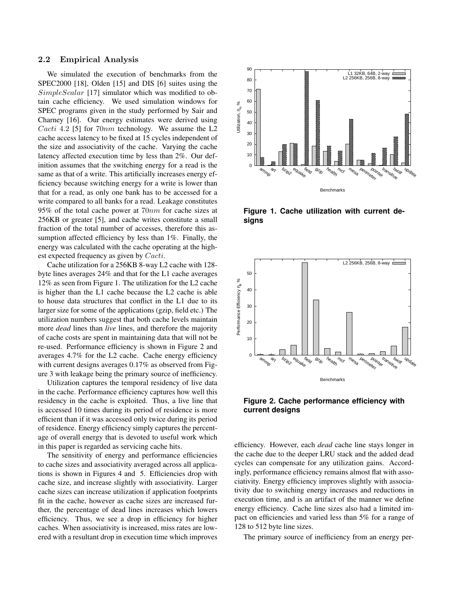#### 2.2 Empirical Analysis

We simulated the execution of benchmarks from the SPEC2000 [18], Olden [15] and DIS [6] suites using the SimpleScalar [17] simulator which was modified to obtain cache efficiency. We used simulation windows for SPEC programs given in the study performed by Sair and Charney [16]. Our energy estimates were derived using *Cacti* 4.2 [5] for  $70nm$  technology. We assume the L2 cache access latency to be fixed at 15 cycles independent of the size and associativity of the cache. Varying the cache latency affected execution time by less than 2%. Our definition assumes that the switching energy for a read is the same as that of a write. This artificially increases energy efficiency because switching energy for a write is lower than that for a read, as only one bank has to be accessed for a write compared to all banks for a read. Leakage constitutes 95% of the total cache power at 70nm for cache sizes at 256KB or greater [5], and cache writes constitute a small fraction of the total number of accesses, therefore this assumption affected efficiency by less than 1%. Finally, the energy was calculated with the cache operating at the highest expected frequency as given by Cacti.

Cache utilization for a 256KB 8-way L2 cache with 128 byte lines averages 24% and that for the L1 cache averages 12% as seen from Figure 1. The utilization for the L2 cache is higher than the L1 cache because the L2 cache is able to house data structures that conflict in the L1 due to its larger size for some of the applications (gzip, field etc.) The utilization numbers suggest that both cache levels maintain more *dead* lines than *live* lines, and therefore the majority of cache costs are spent in maintaining data that will not be re-used. Performance efficiency is shown in Figure 2 and averages 4.7% for the L2 cache. Cache energy efficiency with current designs averages 0.17% as observed from Figure 3 with leakage being the primary source of inefficiency.

Utilization captures the temporal residency of live data in the cache. Performance efficiency captures how well this residency in the cache is exploited. Thus, a live line that is accessed 10 times during its period of residence is more efficient than if it was accessed only twice during its period of residence. Energy efficiency simply captures the percentage of overall energy that is devoted to useful work which in this paper is regarded as servicing cache hits.

The sensitivity of energy and performance efficiencies to cache sizes and associativity averaged across all applications is shown in Figures 4 and 5. Efficiencies drop with cache size, and increase slightly with associativity. Larger cache sizes can increase utilization if application footprints fit in the cache, however as cache sizes are increased further, the percentage of dead lines increases which lowers efficiency. Thus, we see a drop in efficiency for higher caches. When associativity is increased, miss rates are lowered with a resultant drop in execution time which improves



**Figure 1. Cache utilization with current designs**





efficiency. However, each *dead* cache line stays longer in the cache due to the deeper LRU stack and the added dead cycles can compensate for any utilization gains. Accordingly, performance efficiency remains almost flat with associativity. Energy efficiency improves slightly with associativity due to switching energy increases and reductions in execution time, and is an artifact of the manner we define energy efficiency. Cache line sizes also had a limited impact on efficiencies and varied less than 5% for a range of 128 to 512 byte line sizes.

The primary source of inefficiency from an energy per-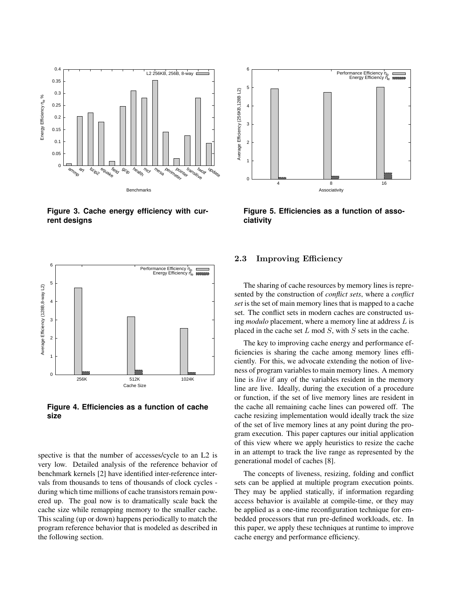

**Figure 3. Cache energy efficiency with current designs**



**Figure 4. Efficiencies as a function of cache size**

spective is that the number of accesses/cycle to an L2 is very low. Detailed analysis of the reference behavior of benchmark kernels [2] have identified inter-reference intervals from thousands to tens of thousands of clock cycles during which time millions of cache transistors remain powered up. The goal now is to dramatically scale back the cache size while remapping memory to the smaller cache. This scaling (up or down) happens periodically to match the program reference behavior that is modeled as described in the following section.



**Figure 5. Efficiencies as a function of associativity**

# 2.3 Improving Efficiency

The sharing of cache resources by memory lines is represented by the construction of *conflict sets*, where a *conflict set* is the set of main memory lines that is mapped to a cache set. The conflict sets in modern caches are constructed using *modulo* placement, where a memory line at address L is placed in the cache set  $L \mod S$ , with  $S$  sets in the cache.

The key to improving cache energy and performance efficiencies is sharing the cache among memory lines efficiently. For this, we advocate extending the notion of liveness of program variables to main memory lines. A memory line is *live* if any of the variables resident in the memory line are live. Ideally, during the execution of a procedure or function, if the set of live memory lines are resident in the cache all remaining cache lines can powered off. The cache resizing implementation would ideally track the size of the set of live memory lines at any point during the program execution. This paper captures our initial application of this view where we apply heuristics to resize the cache in an attempt to track the live range as represented by the generational model of caches [8].

The concepts of liveness, resizing, folding and conflict sets can be applied at multiple program execution points. They may be applied statically, if information regarding access behavior is available at compile-time, or they may be applied as a one-time reconfiguration technique for embedded processors that run pre-defined workloads, etc. In this paper, we apply these techniques at runtime to improve cache energy and performance efficiency.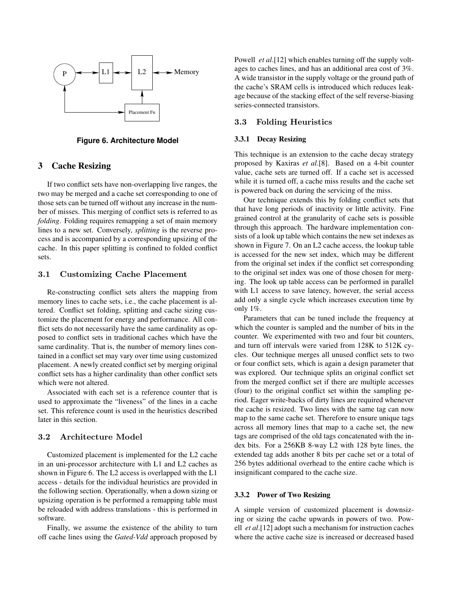

**Figure 6. Architecture Model**

# 3 Cache Resizing

If two conflict sets have non-overlapping live ranges, the two may be merged and a cache set corresponding to one of those sets can be turned off without any increase in the number of misses. This merging of conflict sets is referred to as *folding*. Folding requires remapping a set of main memory lines to a new set. Conversely, *splitting* is the reverse process and is accompanied by a corresponding upsizing of the cache. In this paper splitting is confined to folded conflict sets.

# 3.1 Customizing Cache Placement

Re-constructing conflict sets alters the mapping from memory lines to cache sets, *i.e.*, the cache placement is altered. Conflict set folding, splitting and cache sizing customize the placement for energy and performance. All conflict sets do not necessarily have the same cardinality as opposed to conflict sets in traditional caches which have the same cardinality. That is, the number of memory lines contained in a conflict set may vary over time using customized placement. A newly created conflict set by merging original conflict sets has a higher cardinality than other conflict sets which were not altered.

Associated with each set is a reference counter that is used to approximate the "liveness" of the lines in a cache set. This reference count is used in the heuristics described later in this section.

# 3.2 Architecture Model

Customized placement is implemented for the L2 cache in an uni-processor architecture with L1 and L2 caches as shown in Figure 6. The L2 access is overlapped with the L1 access - details for the individual heuristics are provided in the following section. Operationally, when a down sizing or upsizing operation is be performed a remapping table must be reloaded with address translations - this is performed in software.

Finally, we assume the existence of the ability to turn off cache lines using the *Gated-Vdd* approach proposed by Powell *et al*.[12] which enables turning off the supply voltages to caches lines, and has an additional area cost of 3%. A wide transistor in the supply voltage or the ground path of the cache's SRAM cells is introduced which reduces leakage because of the stacking effect of the self reverse-biasing series-connected transistors.

#### 3.3 Folding Heuristics

#### 3.3.1 Decay Resizing

This technique is an extension to the cache decay strategy proposed by Kaxiras *et al*.[8]. Based on a 4-bit counter value, cache sets are turned off. If a cache set is accessed while it is turned off, a cache miss results and the cache set is powered back on during the servicing of the miss.

Our technique extends this by folding conflict sets that that have long periods of inactivity or little activity. Fine grained control at the granularity of cache sets is possible through this approach. The hardware implementation consists of a look up table which contains the new set indexes as shown in Figure 7. On an L2 cache access, the lookup table is accessed for the new set index, which may be different from the original set index if the conflict set corresponding to the original set index was one of those chosen for merging. The look up table access can be performed in parallel with L1 access to save latency, however, the serial access add only a single cycle which increases execution time by only 1%.

Parameters that can be tuned include the frequency at which the counter is sampled and the number of bits in the counter. We experimented with two and four bit counters, and turn off intervals were varied from 128K to 512K cycles. Our technique merges all unused conflict sets to two or four conflict sets, which is again a design parameter that was explored. Our technique splits an original conflict set from the merged conflict set if there are multiple accesses (four) to the original conflict set within the sampling period. Eager write-backs of dirty lines are required whenever the cache is resized. Two lines with the same tag can now map to the same cache set. Therefore to ensure unique tags across all memory lines that map to a cache set, the new tags are comprised of the old tags concatenated with the index bits. For a 256KB 8-way L2 with 128 byte lines, the extended tag adds another 8 bits per cache set or a total of 256 bytes additional overhead to the entire cache which is insignificant compared to the cache size.

# 3.3.2 Power of Two Resizing

A simple version of customized placement is downsizing or sizing the cache upwards in powers of two. Powell *et al*.[12] adopt such a mechanism for instruction caches where the active cache size is increased or decreased based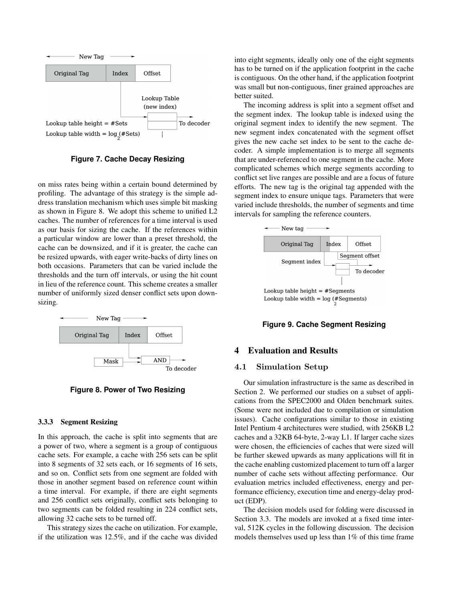

**Figure 7. Cache Decay Resizing**

on miss rates being within a certain bound determined by profiling. The advantage of this strategy is the simple address translation mechanism which uses simple bit masking as shown in Figure 8. We adopt this scheme to unified L2 caches. The number of references for a time interval is used as our basis for sizing the cache. If the references within a particular window are lower than a preset threshold, the cache can be downsized, and if it is greater, the cache can be resized upwards, with eager write-backs of dirty lines on both occasions. Parameters that can be varied include the thresholds and the turn off intervals, or using the hit count in lieu of the reference count. This scheme creates a smaller number of uniformly sized denser conflict sets upon downsizing.



**Figure 8. Power of Two Resizing**

#### 3.3.3 Segment Resizing

In this approach, the cache is split into segments that are a power of two, where a segment is a group of contiguous cache sets. For example, a cache with 256 sets can be split into 8 segments of 32 sets each, or 16 segments of 16 sets, and so on. Conflict sets from one segment are folded with those in another segment based on reference count within a time interval. For example, if there are eight segments and 256 conflict sets originally, conflict sets belonging to two segments can be folded resulting in 224 conflict sets, allowing 32 cache sets to be turned off.

This strategy sizes the cache on utilization. For example, if the utilization was 12.5%, and if the cache was divided into eight segments, ideally only one of the eight segments has to be turned on if the application footprint in the cache is contiguous. On the other hand, if the application footprint was small but non-contiguous, finer grained approaches are better suited.

The incoming address is split into a segment offset and the segment index. The lookup table is indexed using the original segment index to identify the new segment. The new segment index concatenated with the segment offset gives the new cache set index to be sent to the cache decoder. A simple implementation is to merge all segments that are under-referenced to one segment in the cache. More complicated schemes which merge segments according to conflict set live ranges are possible and are a focus of future efforts. The new tag is the original tag appended with the segment index to ensure unique tags. Parameters that were varied include thresholds, the number of segments and time intervals for sampling the reference counters.



**Figure 9. Cache Segment Resizing**

# 4 Evaluation and Results

#### 4.1 Simulation Setup

Our simulation infrastructure is the same as described in Section 2. We performed our studies on a subset of applications from the SPEC2000 and Olden benchmark suites. (Some were not included due to compilation or simulation issues). Cache configurations similar to those in existing Intel Pentium 4 architectures were studied, with 256KB L2 caches and a 32KB 64-byte, 2-way L1. If larger cache sizes were chosen, the efficiencies of caches that were sized will be further skewed upwards as many applications will fit in the cache enabling customized placement to turn off a larger number of cache sets without affecting performance. Our evaluation metrics included effectiveness, energy and performance efficiency, execution time and energy-delay product (EDP).

The decision models used for folding were discussed in Section 3.3. The models are invoked at a fixed time interval, 512K cycles in the following discussion. The decision models themselves used up less than 1% of this time frame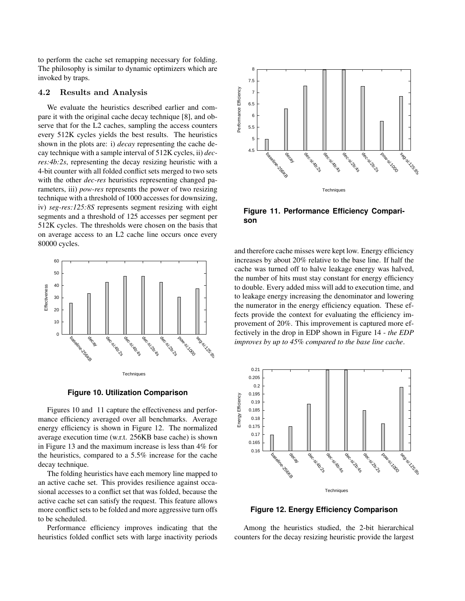to perform the cache set remapping necessary for folding. The philosophy is similar to dynamic optimizers which are invoked by traps.

# 4.2 Results and Analysis

We evaluate the heuristics described earlier and compare it with the original cache decay technique [8], and observe that for the L2 caches, sampling the access counters every 512K cycles yields the best results. The heuristics shown in the plots are: i) *decay* representing the cache decay technique with a sample interval of 512K cycles, ii) *decres:4b:2s*, representing the decay resizing heuristic with a 4-bit counter with all folded conflict sets merged to two sets with the other *dec-res* heuristics representing changed parameters, iii) *pow-res* represents the power of two resizing technique with a threshold of 1000 accesses for downsizing, iv) *seg-res:125:8S* represents segment resizing with eight segments and a threshold of 125 accesses per segment per 512K cycles. The thresholds were chosen on the basis that on average access to an L2 cache line occurs once every 80000 cycles. **Example 12.** The matrix of the horizon of the solution of the solution of the matrix in the original cando decay rechange is [8], and ob-<br>
except sets with the original case of exception  $\frac{1}{2}$  and  $\frac{1}{2}$  and  $\frac{1$ 





Figures 10 and 11 capture the effectiveness and performance efficiency averaged over all benchmarks. Average energy efficiency is shown in Figure 12. The normalized average execution time (w.r.t. 256KB base cache) is shown in Figure 13 and the maximum increase is less than 4% for the heuristics, compared to a 5.5% increase for the cache

decay technique.

The folding heuristics have each memory line mapped to an active cache set. This provides resilience against occasional accesses to a conflict set that was folded, because the active cache set can satisfy the request. This feature allows more conflict sets to be folded and more aggressive turn offs to be scheduled.

Performance efficiency improves indicating that the



**Figure 11. Performance Efficiency Comparison**

and therefore cache misses were kept low. Energy efficiency increases by about 20% relative to the base line. If half the cache was turned off to halve leakage energy was halved, the number of hits must stay constant for energy efficiency to double. Every added miss will add to execution time, and to leakage energy increasing the denominator and lowering the numerator in the energy efficiency equation. These effects provide the context for evaluating the efficiency improvement of 20%. This improvement is captured more effectively in the drop in EDP shown in Figure 14 - *the EDP improves by up to 45% compared to the base line cache*.



**Figure 12. Energy Efficiency Comparison**

Among the heuristics studied, the 2-bit hierarchical counters for the decay resizing heuristic provide the largest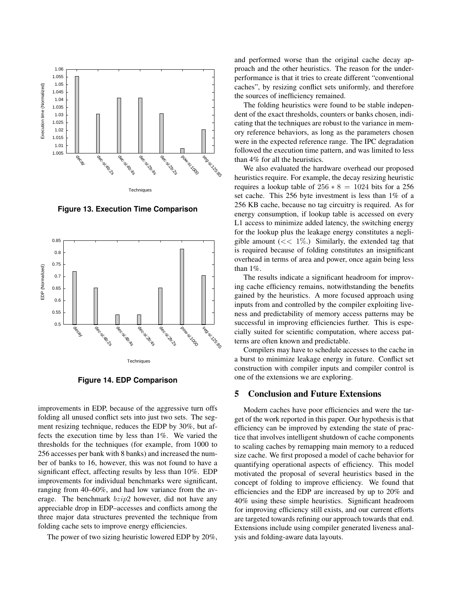

**Figure 13. Execution Time Comparison**



**Figure 14. EDP Comparison**

improvements in EDP, because of the aggressive turn offs folding all unused conflict sets into just two sets. The segment resizing technique, reduces the EDP by 30%, but affects the execution time by less than 1%. We varied the thresholds for the techniques (for example, from 1000 to 256 accesses per bank with 8 banks) and increased the number of banks to 16, however, this was not found to have a significant effect, affecting results by less than 10%. EDP improvements for individual benchmarks were significant, ranging from 40–60%, and had low variance from the average. The benchmark bzip2 however, did not have any appreciable drop in EDP–accesses and conflicts among the three major data structures prevented the technique from folding cache sets to improve energy efficiencies.

The power of two sizing heuristic lowered EDP by 20%,

and performed worse than the original cache decay approach and the other heuristics. The reason for the underperformance is that it tries to create different "conventional caches", by resizing conflict sets uniformly, and therefore the sources of inefficiency remained.

The folding heuristics were found to be stable independent of the exact thresholds, counters or banks chosen, indicating that the techniques are robust to the variance in memory reference behaviors, as long as the parameters chosen were in the expected reference range. The IPC degradation followed the execution time pattern, and was limited to less than 4% for all the heuristics.

We also evaluated the hardware overhead our proposed heuristics require. For example, the decay resizing heuristic requires a lookup table of  $256 * 8 = 1024$  bits for a 256 set cache. This 256 byte investment is less than 1% of a 256 KB cache, because no tag circuitry is required. As for energy consumption, if lookup table is accessed on every L1 access to minimize added latency, the switching energy for the lookup plus the leakage energy constitutes a negligible amount  $\ll 1\%$ .) Similarly, the extended tag that is required because of folding constitutes an insignificant overhead in terms of area and power, once again being less than 1%.

The results indicate a significant headroom for improving cache efficiency remains, notwithstanding the benefits gained by the heuristics. A more focused approach using inputs from and controlled by the compiler exploiting liveness and predictability of memory access patterns may be successful in improving efficiencies further. This is especially suited for scientific computation, where access patterns are often known and predictable.

Compilers may have to schedule accesses to the cache in a burst to minimize leakage energy in future. Conflict set construction with compiler inputs and compiler control is one of the extensions we are exploring.

# 5 Conclusion and Future Extensions

Modern caches have poor efficiencies and were the target of the work reported in this paper. Our hypothesis is that efficiency can be improved by extending the state of practice that involves intelligent shutdown of cache components to scaling caches by remapping main memory to a reduced size cache. We first proposed a model of cache behavior for quantifying operational aspects of efficiency. This model motivated the proposal of several heuristics based in the concept of folding to improve efficiency. We found that efficiencies and the EDP are increased by up to 20% and 40% using these simple heuristics. Significant headroom for improving efficiency still exists, and our current efforts are targeted towards refining our approach towards that end. Extensions include using compiler generated liveness analysis and folding-aware data layouts.